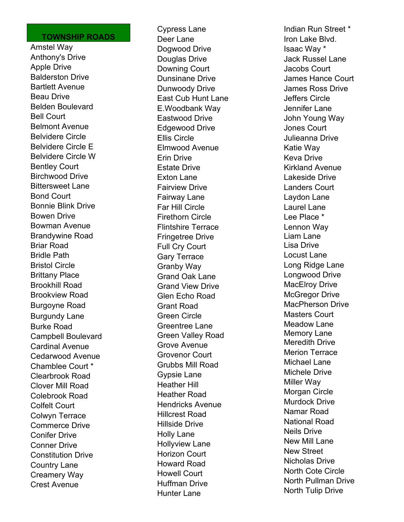## **TOWNSHIP ROAD S**

Amstel Way Anthony's Drive Apple Drive Balderston Drive Bartlett Avenue Beau Drive Belden Boulevard Bell Court Belmont Avenue Belvidere Circle Belvidere Circle E Belvidere Circle W Bentl ey Court Birchwood Drive Bittersweet Lane Bond Court Bonnie Blink Drive Bowen Drive Bowman Avenue Brandywine Road Briar Road Bridle Path Bristol Circle Brittany Place Brookhill Road Brookview Road Burgoyne Road Burgundy Lane Burke Road Campbell Boulevard Cardinal Avenue Cedarwood Avenue Chamblee Court \* Clearbrook Road Clover Mill Road Colebrook Road Colfelt Court Colwyn Terrace Commerce Drive Conifer Drive Conner Drive Constitution Drive Country Lane Creamery Way Crest Avenue

Cypress Lane Deer Lane Dogwood Drive Douglas Drive Downing Court Dunsinane Drive Dunwoody Drive East Cub Hunt Lane E.Woodbank Way Eastwood Drive Edgewood Drive Ellis Circle Elmwood Avenue Erin Drive Estate Drive Exton Lane Fairview Drive Fairway Lane Far Hill Circle Firethorn Circle Flintshire Terrace Fringetree Drive Full Cry Court Gary Terrace Granby Way Grand Oak Lane Grand View Drive Glen Echo Road Grant Road Green Circle Greentree Lane Green Valley Road Grove Avenue Grovenor Court Grubbs Mill Road Gypsie Lane Heather Hill Heather Road Hendricks Avenue Hillcrest Road Hillside Drive Holly Lane Hollyview Lane Horizon Court Howard Road Howell Court Huffman Drive Hunter Lane

Indian Run Street \* Iron Lake Blvd. Isaac Way \* Jack Russel Lane Jacobs Court James Hance Cour t James Ross Drive Jeffers Circle Jennifer Lane John Young Way Jones Court Julieanna Drive Katie Way Keva Drive Kirkland Avenue Lakeside Drive Landers Court Laydon Lane Laurel Lane Lee Place \* Lennon Way Liam Lane Lisa Drive Locust Lane Long Ridge Lane Longwood Drive MacElroy Drive McGregor Drive MacPherson Drive Masters Court Meadow Lane Memory Lane Meredith Drive Merion Terrace Michael Lane Michele Drive Miller Way Morgan Circle Murdock Drive Namar Road National Road Neils Drive New Mill Lane New Street Nicholas Drive North Cote Circle North Pullman Drive North Tulip Drive